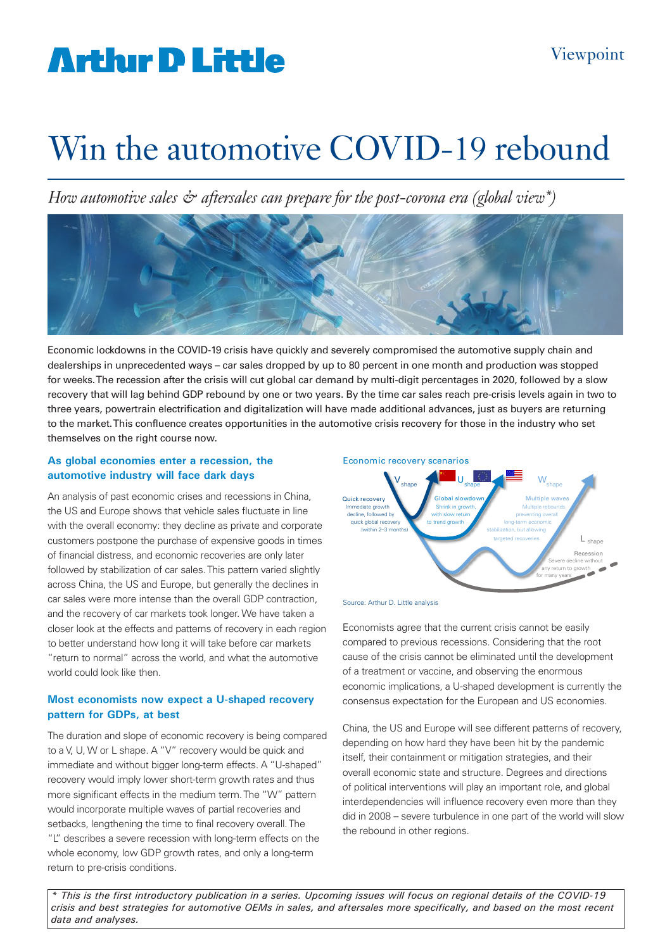# **Arthur D Little**

# Win the automotive COVID-19 rebound

*How automotive sales & aftersales can prepare for the post-corona era (global view\*)*



Economic lockdowns in the COVID-19 crisis have quickly and severely compromised the automotive supply chain and dealerships in unprecedented ways – car sales dropped by up to 80 percent in one month and production was stopped for weeks. The recession after the crisis will cut global car demand by multi-digit percentages in 2020, followed by a slow recovery that will lag behind GDP rebound by one or two years. By the time car sales reach pre-crisis levels again in two to three years, powertrain electrification and digitalization will have made additional advances, just as buyers are returning to the market. This confluence creates opportunities in the automotive crisis recovery for those in the industry who set themselves on the right course now.

#### **As global economies enter a recession, the automotive industry will face dark days**

An analysis of past economic crises and recessions in China, the US and Europe shows that vehicle sales fluctuate in line with the overall economy: they decline as private and corporate customers postpone the purchase of expensive goods in times of financial distress, and economic recoveries are only later followed by stabilization of car sales. This pattern varied slightly across China, the US and Europe, but generally the declines in car sales were more intense than the overall GDP contraction, and the recovery of car markets took longer. We have taken a closer look at the effects and patterns of recovery in each region to better understand how long it will take before car markets "return to normal" across the world, and what the automotive world could look like then.

### **Most economists now expect a U-shaped recovery pattern for GDPs, at best**

The duration and slope of economic recovery is being compared to a V, U, W or L shape. A "V" recovery would be quick and immediate and without bigger long-term effects. A "U-shaped" recovery would imply lower short-term growth rates and thus more significant effects in the medium term. The "W" pattern would incorporate multiple waves of partial recoveries and setbacks, lengthening the time to final recovery overall. The "L" describes a severe recession with long-term effects on the whole economy, low GDP growth rates, and only a long-term return to pre-crisis conditions.





Source: Arthur D. Little analysis

Economists agree that the current crisis cannot be easily compared to previous recessions. Considering that the root cause of the crisis cannot be eliminated until the development of a treatment or vaccine, and observing the enormous economic implications, a U-shaped development is currently the consensus expectation for the European and US economies.

China, the US and Europe will see different patterns of recovery, depending on how hard they have been hit by the pandemic itself, their containment or mitigation strategies, and their overall economic state and structure. Degrees and directions of political interventions will play an important role, and global interdependencies will influence recovery even more than they did in 2008 – severe turbulence in one part of the world will slow the rebound in other regions.

*\* This is the first introductory publication in a series. Upcoming issues will focus on regional details of the COVID-19 crisis and best strategies for automotive OEMs in sales, and aftersales more specifically, and based on the most recent data and analyses.*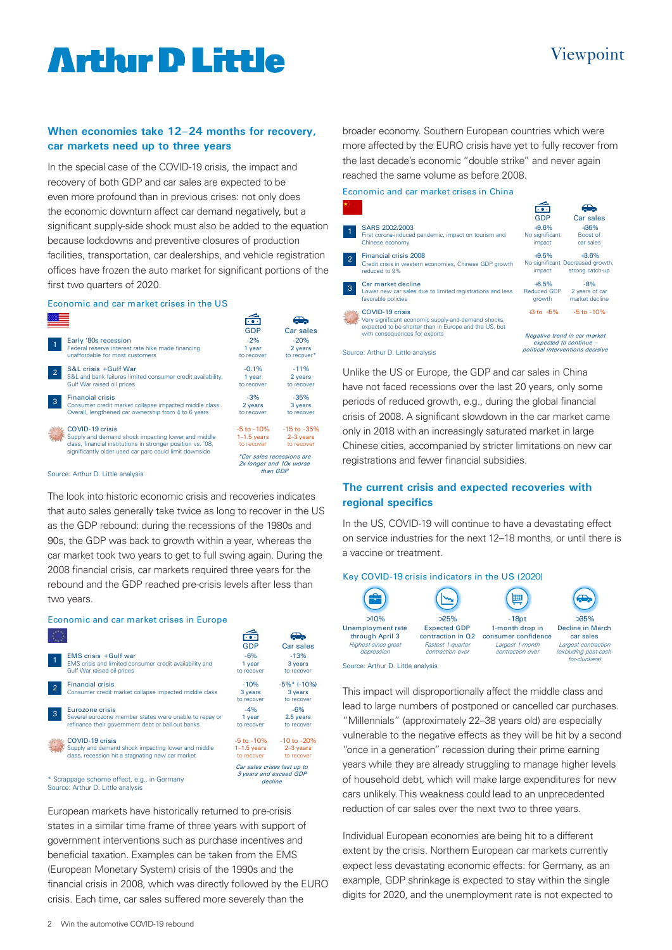### Viewpoint

## **Artlur D Little**

#### **When economies take 12–24 months for recovery, car markets need up to three years**

In the special case of the COVID-19 crisis, the impact and recovery of both GDP and car sales are expected to be even more profound than in previous crises: not only does the economic downturn affect car demand negatively, but a significant supply-side shock must also be added to the equation because lockdowns and preventive closures of production facilities, transportation, car dealerships, and vehicle registration offices have frozen the auto market for significant portions of the first two quarters of 2020.

#### Economic and car market crises in the US

|                                   |                                                             | GDP                       | Car sales       |
|-----------------------------------|-------------------------------------------------------------|---------------------------|-----------------|
|                                   | Early '80s recession                                        | $-2%$                     | $-20%$          |
| $\overline{1}$                    | Federal reserve interest rate hike made financing           | 1 year                    | 2 years         |
|                                   | unaffordable for most customers                             | to recover                | to recover*     |
| $\overline{2}$                    | S&L crisis +Gulf War                                        | $-0.1%$                   | $-11%$          |
|                                   | S&L and bank failures limited consumer credit availability, | 1 year                    | 2 years         |
|                                   | Gulf War raised oil prices                                  | to recover                | to recover      |
|                                   | <b>Financial crisis</b>                                     | $-3%$                     | $-35%$          |
| 3                                 | Consumer credit market collapse impacted middle class.      | 2 years                   | 3 years         |
|                                   | Overall, lengthened car ownership from 4 to 6 years         | to recover                | to recover      |
|                                   | COVID-19 crisis                                             | $-5$ to $-10\%$           | $-15$ to $-35%$ |
|                                   | Supply and demand shock impacting lower and middle          | $1-1.5$ years             | $2-3$ years     |
|                                   | class, financial institutions in stronger position vs. '08, | to recover                | to recover      |
|                                   | significantly older used car parc could limit downside      | *Car sales recessions are |                 |
|                                   |                                                             | 2x longer and 10x worse   |                 |
| Source: Arthur D. Little analysis |                                                             | than GDP                  |                 |
|                                   |                                                             |                           |                 |

The look into historic economic crisis and recoveries indicates that auto sales generally take twice as long to recover in the US as the GDP rebound: during the recessions of the 1980s and 90s, the GDP was back to growth within a year, whereas the car market took two years to get to full swing again. During the 2008 financial crisis, car markets required three years for the rebound and the GDP reached pre-crisis levels after less than two years.

#### Economic and car market crises in Europe  $\widehat{\mathbb{G}}$ GDP Car sales EMS crisis + Gulf war -6% EMS crisis and limited consumer credit availability and 1 year Gulf War raised oil prices to recove to recover -10% -5%\* (-10%) Financial crisis 2 Consumer credit market collapse impacted middle class 3 years to recover -4% Eurozone crisis 2.5 years Several eurozone member states were unable to repay or 1 year to recover

refinance their government debt or bail out banks COVID-19 crisis Supply and demand shock impacting lower and middle class, recession hit a stagnating new car market to recover -5 to -10% 1–1.5 years to recover Car sales crises last up to

\* Scrappage scheme effect, e.g., in Germany Source: Arthur D. Little analysis

European markets have historically returned to pre-crisis states in a similar time frame of three years with support of government interventions such as purchase incentives and beneficial taxation. Examples can be taken from the EMS (European Monetary System) crisis of the 1990s and the financial crisis in 2008, which was directly followed by the EURO crisis. Each time, car sales suffered more severely than the

broader economy. Southern European countries which were more affected by the EURO crisis have yet to fully recover from the last decade's economic "double strike" and never again reached the same volume as before 2008.

#### Economic and car market crises in China



Unlike the US or Europe, the GDP and car sales in China have not faced recessions over the last 20 years, only some periods of reduced growth, e.g., during the global financial crisis of 2008. A significant slowdown in the car market came only in 2018 with an increasingly saturated market in large Chinese cities, accompanied by stricter limitations on new car registrations and fewer financial subsidies.

#### **The current crisis and expected recoveries with regional specifics**

In the US, COVID-19 will continue to have a devastating effect on service industries for the next 12–18 months, or until there is a vaccine or treatment.

#### Key COVID-19 crisis indicators in the US (2020)



>35% Decline in March car sales Largest contraction excluding post-cash for-clunkers)

(fight)

Source: Arthur D. Little analysis

-13% 3 years

 $\bigoplus$ 

3 years to recover

-6%

-10 to -20% 2–3 years to recover

3 years and exceed GDP decline

This impact will disproportionally affect the middle class and lead to large numbers of postponed or cancelled car purchases. "Millennials" (approximately 22–38 years old) are especially vulnerable to the negative effects as they will be hit by a second "once in a generation" recession during their prime earning years while they are already struggling to manage higher levels of household debt, which will make large expenditures for new cars unlikely. This weakness could lead to an unprecedented reduction of car sales over the next two to three years.

Individual European economies are being hit to a different extent by the crisis. Northern European car markets currently expect less devastating economic effects: for Germany, as an example, GDP shrinkage is expected to stay within the single digits for 2020, and the unemployment rate is not expected to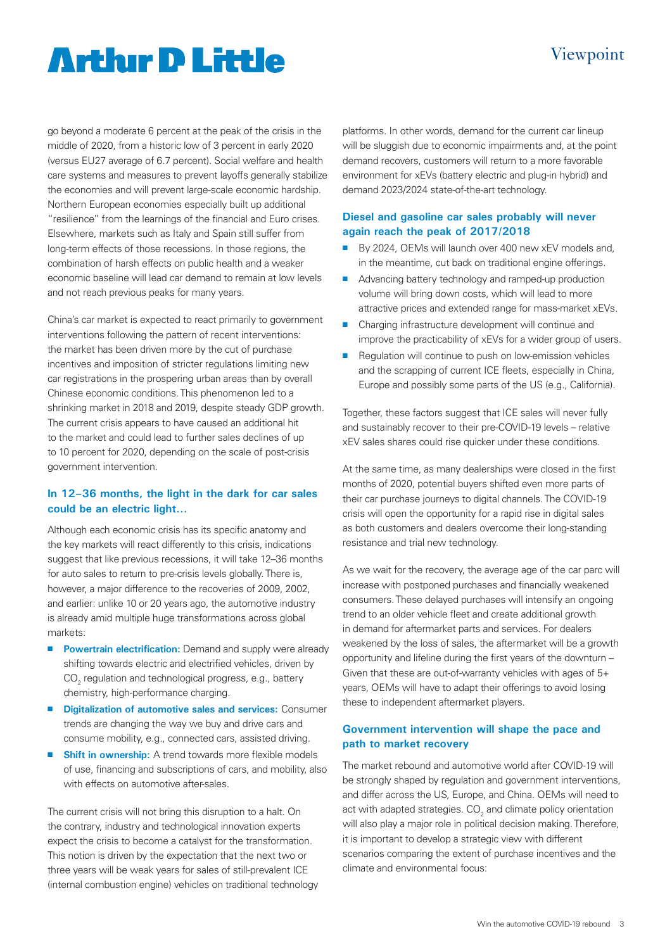### Viewpoint

# **Artlur D Little**

go beyond a moderate 6 percent at the peak of the crisis in the middle of 2020, from a historic low of 3 percent in early 2020 (versus EU27 average of 6.7 percent). Social welfare and health care systems and measures to prevent layoffs generally stabilize the economies and will prevent large-scale economic hardship. Northern European economies especially built up additional "resilience" from the learnings of the financial and Euro crises. Elsewhere, markets such as Italy and Spain still suffer from long-term effects of those recessions. In those regions, the combination of harsh effects on public health and a weaker economic baseline will lead car demand to remain at low levels and not reach previous peaks for many years.

China's car market is expected to react primarily to government interventions following the pattern of recent interventions: the market has been driven more by the cut of purchase incentives and imposition of stricter regulations limiting new car registrations in the prospering urban areas than by overall Chinese economic conditions. This phenomenon led to a shrinking market in 2018 and 2019, despite steady GDP growth. The current crisis appears to have caused an additional hit to the market and could lead to further sales declines of up to 10 percent for 2020, depending on the scale of post-crisis government intervention.

### **In 12–36 months, the light in the dark for car sales could be an electric light…**

Although each economic crisis has its specific anatomy and the key markets will react differently to this crisis, indications suggest that like previous recessions, it will take 12–36 months for auto sales to return to pre-crisis levels globally. There is, however, a major difference to the recoveries of 2009, 2002, and earlier: unlike 10 or 20 years ago, the automotive industry is already amid multiple huge transformations across global markets:

- **Powertrain electrification:** Demand and supply were already shifting towards electric and electrified vehicles, driven by  $\mathrm{CO}_2^{}$  regulation and technological progress, e.g., battery chemistry, high-performance charging.
- **Digitalization of automotive sales and services: Consumer** trends are changing the way we buy and drive cars and consume mobility, e.g., connected cars, assisted driving.
- **n** Shift in ownership: A trend towards more flexible models of use, financing and subscriptions of cars, and mobility, also with effects on automotive after-sales.

The current crisis will not bring this disruption to a halt. On the contrary, industry and technological innovation experts expect the crisis to become a catalyst for the transformation. This notion is driven by the expectation that the next two or three years will be weak years for sales of still-prevalent ICE (internal combustion engine) vehicles on traditional technology platforms. In other words, demand for the current car lineup will be sluggish due to economic impairments and, at the point demand recovers, customers will return to a more favorable environment for xEVs (battery electric and plug-in hybrid) and demand 2023/2024 state-of-the-art technology.

### **Diesel and gasoline car sales probably will never again reach the peak of 2017/2018**

- By 2024, OEMs will launch over 400 new xEV models and, in the meantime, cut back on traditional engine offerings.
- Advancing battery technology and ramped-up production volume will bring down costs, which will lead to more attractive prices and extended range for mass-market xEVs.
- Charging infrastructure development will continue and improve the practicability of xEVs for a wider group of users.
- $\blacksquare$  Regulation will continue to push on low-emission vehicles and the scrapping of current ICE fleets, especially in China, Europe and possibly some parts of the US (e.g., California).

Together, these factors suggest that ICE sales will never fully and sustainably recover to their pre-COVID-19 levels – relative xEV sales shares could rise quicker under these conditions.

At the same time, as many dealerships were closed in the first months of 2020, potential buyers shifted even more parts of their car purchase journeys to digital channels. The COVID-19 crisis will open the opportunity for a rapid rise in digital sales as both customers and dealers overcome their long-standing resistance and trial new technology.

As we wait for the recovery, the average age of the car parc will increase with postponed purchases and financially weakened consumers. These delayed purchases will intensify an ongoing trend to an older vehicle fleet and create additional growth in demand for aftermarket parts and services. For dealers weakened by the loss of sales, the aftermarket will be a growth opportunity and lifeline during the first years of the downturn – Given that these are out-of-warranty vehicles with ages of 5+ years, OEMs will have to adapt their offerings to avoid losing these to independent aftermarket players.

#### **Government intervention will shape the pace and path to market recovery**

The market rebound and automotive world after COVID-19 will be strongly shaped by regulation and government interventions, and differ across the US, Europe, and China. OEMs will need to act with adapted strategies.  $\mathtt{CO}_2$  and climate policy orientation will also play a major role in political decision making. Therefore, it is important to develop a strategic view with different scenarios comparing the extent of purchase incentives and the climate and environmental focus: